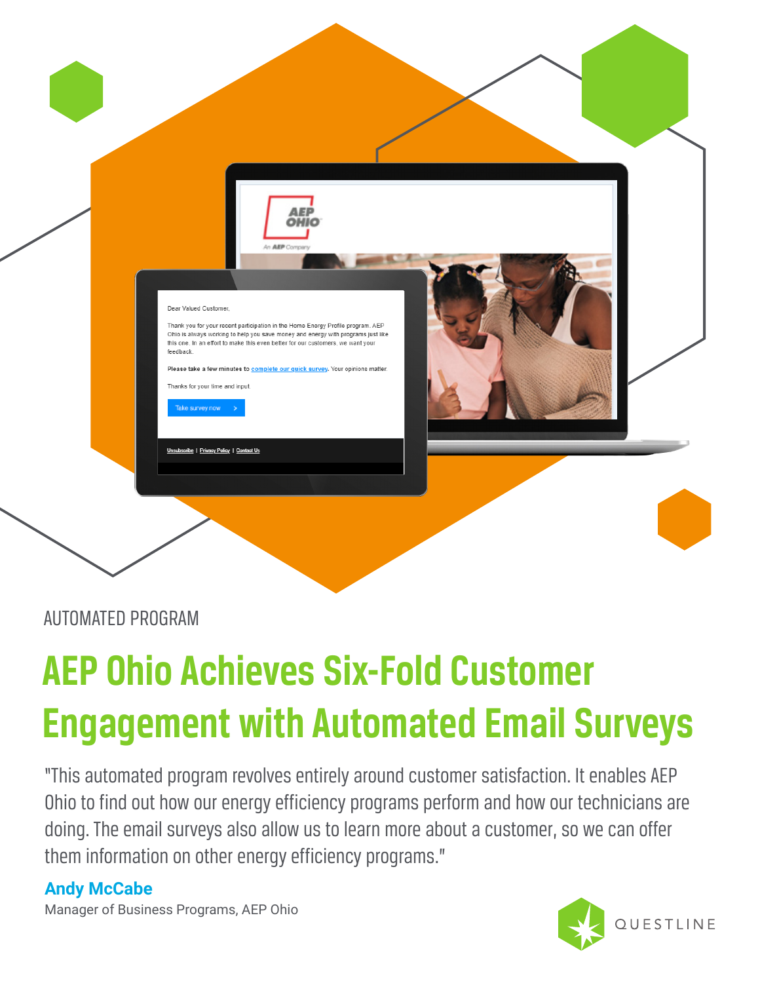

AUTOMATED PROGRAM

# **AEP Ohio Achieves Six-Fold Customer Engagement with Automated Email Surveys**

"This automated program revolves entirely around customer satisfaction. It enables AEP Ohio to find out how our energy efficiency programs perform and how our technicians are doing. The email surveys also allow us to learn more about a customer, so we can offer them information on other energy efficiency programs."

**Andy McCabe** Manager of Business Programs, AEP Ohio